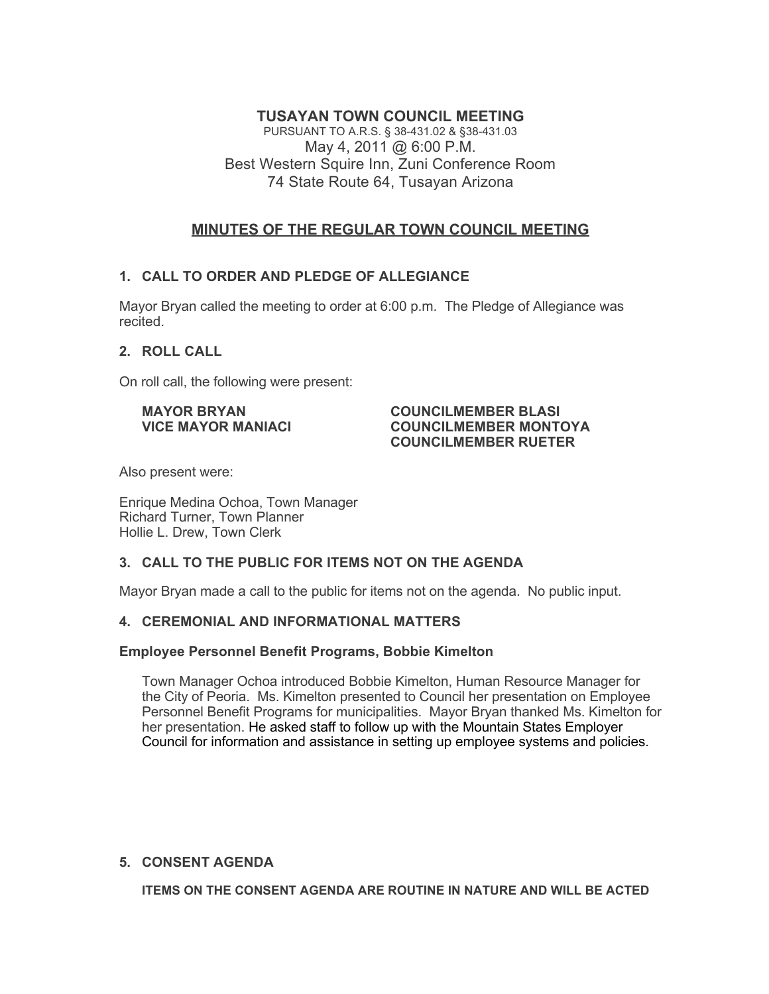# **TUSAYAN TOWN COUNCIL MEETING**

PURSUANT TO A.R.S. § 38-431.02 & §38-431.03 May 4, 2011 @ 6:00 P.M. Best Western Squire Inn, Zuni Conference Room 74 State Route 64, Tusayan Arizona

# **MINUTES OF THE REGULAR TOWN COUNCIL MEETING**

# **1. CALL TO ORDER AND PLEDGE OF ALLEGIANCE**

Mayor Bryan called the meeting to order at 6:00 p.m. The Pledge of Allegiance was recited.

# **2. ROLL CALL**

On roll call, the following were present:

#### **MAYOR BRYAN COUNCILMEMBER BLASI VICE MAYOR MANIACI COUNCILMEMBER MONTOYA COUNCILMEMBER RUETER**

Also present were:

Enrique Medina Ochoa, Town Manager Richard Turner, Town Planner Hollie L. Drew, Town Clerk

# **3. CALL TO THE PUBLIC FOR ITEMS NOT ON THE AGENDA**

Mayor Bryan made a call to the public for items not on the agenda. No public input.

## **4. CEREMONIAL AND INFORMATIONAL MATTERS**

## **Employee Personnel Benefit Programs, Bobbie Kimelton**

Town Manager Ochoa introduced Bobbie Kimelton, Human Resource Manager for the City of Peoria. Ms. Kimelton presented to Council her presentation on Employee Personnel Benefit Programs for municipalities. Mayor Bryan thanked Ms. Kimelton for her presentation. He asked staff to follow up with the Mountain States Employer Council for information and assistance in setting up employee systems and policies.

## **5. CONSENT AGENDA**

**ITEMS ON THE CONSENT AGENDA ARE ROUTINE IN NATURE AND WILL BE ACTED**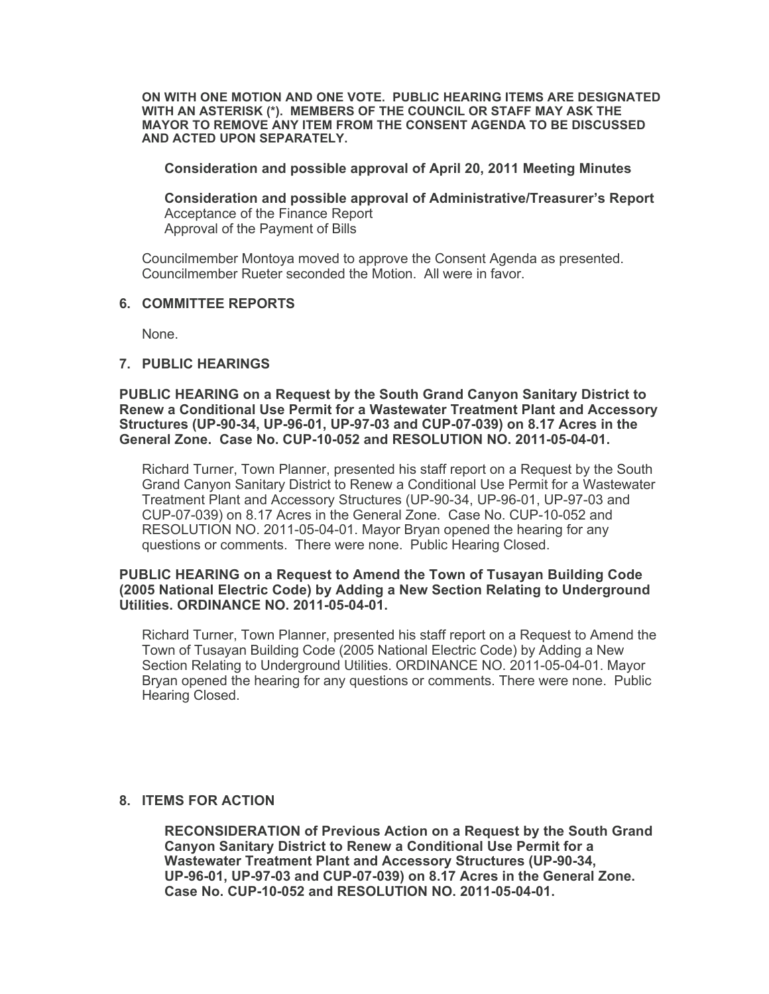**ON WITH ONE MOTION AND ONE VOTE. PUBLIC HEARING ITEMS ARE DESIGNATED WITH AN ASTERISK (\*). MEMBERS OF THE COUNCIL OR STAFF MAY ASK THE MAYOR TO REMOVE ANY ITEM FROM THE CONSENT AGENDA TO BE DISCUSSED AND ACTED UPON SEPARATELY.**

#### **Consideration and possible approval of April 20, 2011 Meeting Minutes**

**Consideration and possible approval of Administrative/Treasurer's Report** Acceptance of the Finance Report Approval of the Payment of Bills

Councilmember Montoya moved to approve the Consent Agenda as presented. Councilmember Rueter seconded the Motion. All were in favor.

## **6. COMMITTEE REPORTS**

None.

#### **7. PUBLIC HEARINGS**

**PUBLIC HEARING on a Request by the South Grand Canyon Sanitary District to Renew a Conditional Use Permit for a Wastewater Treatment Plant and Accessory Structures (UP-90-34, UP-96-01, UP-97-03 and CUP-07-039) on 8.17 Acres in the General Zone. Case No. CUP-10-052 and RESOLUTION NO. 2011-05-04-01.**

Richard Turner, Town Planner, presented his staff report on a Request by the South Grand Canyon Sanitary District to Renew a Conditional Use Permit for a Wastewater Treatment Plant and Accessory Structures (UP-90-34, UP-96-01, UP-97-03 and CUP-07-039) on 8.17 Acres in the General Zone. Case No. CUP-10-052 and RESOLUTION NO. 2011-05-04-01. Mayor Bryan opened the hearing for any questions or comments. There were none. Public Hearing Closed.

#### **PUBLIC HEARING on a Request to Amend the Town of Tusayan Building Code (2005 National Electric Code) by Adding a New Section Relating to Underground Utilities. ORDINANCE NO. 2011-05-04-01.**

Richard Turner, Town Planner, presented his staff report on a Request to Amend the Town of Tusayan Building Code (2005 National Electric Code) by Adding a New Section Relating to Underground Utilities. ORDINANCE NO. 2011-05-04-01. Mayor Bryan opened the hearing for any questions or comments. There were none. Public Hearing Closed.

## **8. ITEMS FOR ACTION**

**RECONSIDERATION of Previous Action on a Request by the South Grand Canyon Sanitary District to Renew a Conditional Use Permit for a Wastewater Treatment Plant and Accessory Structures (UP-90-34, UP-96-01, UP-97-03 and CUP-07-039) on 8.17 Acres in the General Zone. Case No. CUP-10-052 and RESOLUTION NO. 2011-05-04-01.**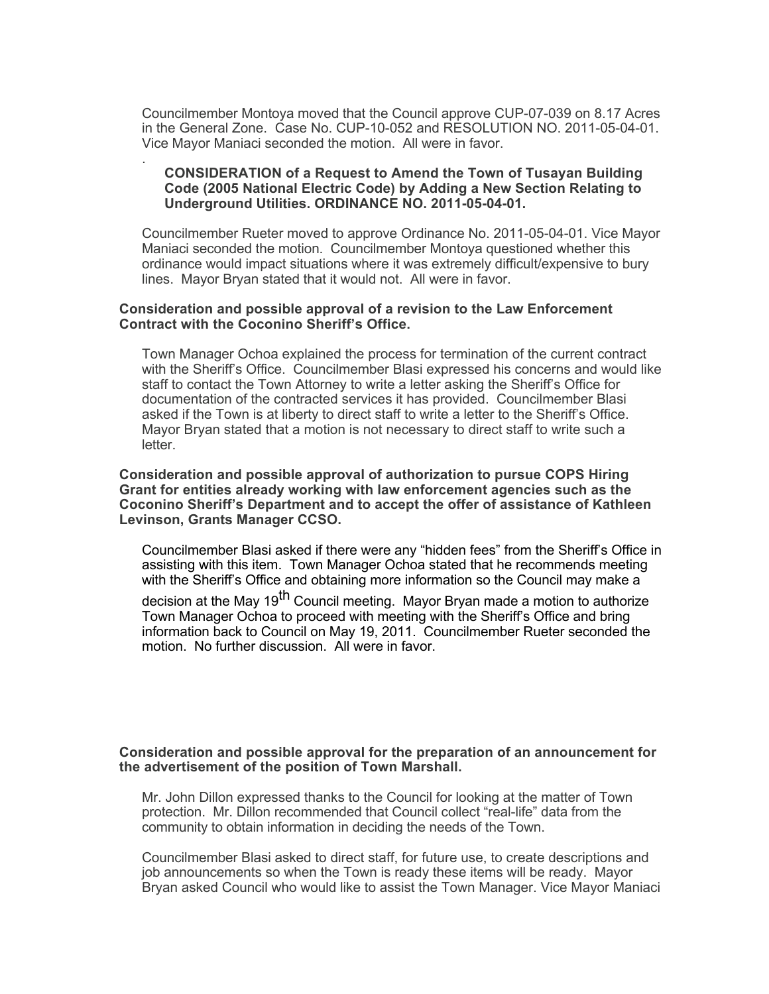Councilmember Montoya moved that the Council approve CUP-07-039 on 8.17 Acres in the General Zone. Case No. CUP-10-052 and RESOLUTION NO. 2011-05-04-01. Vice Mayor Maniaci seconded the motion. All were in favor.

## **CONSIDERATION of a Request to Amend the Town of Tusayan Building Code (2005 National Electric Code) by Adding a New Section Relating to Underground Utilities. ORDINANCE NO. 2011-05-04-01.**

Councilmember Rueter moved to approve Ordinance No. 2011-05-04-01. Vice Mayor Maniaci seconded the motion. Councilmember Montoya questioned whether this ordinance would impact situations where it was extremely difficult/expensive to bury lines. Mayor Bryan stated that it would not. All were in favor.

## **Consideration and possible approval of a revision to the Law Enforcement Contract with the Coconino Sheriff's Office.**

.

Town Manager Ochoa explained the process for termination of the current contract with the Sheriff's Office. Councilmember Blasi expressed his concerns and would like staff to contact the Town Attorney to write a letter asking the Sheriff's Office for documentation of the contracted services it has provided. Councilmember Blasi asked if the Town is at liberty to direct staff to write a letter to the Sheriff's Office. Mayor Bryan stated that a motion is not necessary to direct staff to write such a letter.

**Consideration and possible approval of authorization to pursue COPS Hiring Grant for entities already working with law enforcement agencies such as the Coconino Sheriff's Department and to accept the offer of assistance of Kathleen Levinson, Grants Manager CCSO.**

Councilmember Blasi asked if there were any "hidden fees" from the Sheriff's Office in assisting with this item. Town Manager Ochoa stated that he recommends meeting with the Sheriff's Office and obtaining more information so the Council may make a

decision at the May 19<sup>th</sup> Council meeting. Mayor Bryan made a motion to authorize Town Manager Ochoa to proceed with meeting with the Sheriff's Office and bring information back to Council on May 19, 2011. Councilmember Rueter seconded the motion. No further discussion. All were in favor.

## **Consideration and possible approval for the preparation of an announcement for the advertisement of the position of Town Marshall.**

Mr. John Dillon expressed thanks to the Council for looking at the matter of Town protection. Mr. Dillon recommended that Council collect "real-life" data from the community to obtain information in deciding the needs of the Town.

Councilmember Blasi asked to direct staff, for future use, to create descriptions and job announcements so when the Town is ready these items will be ready. Mayor Bryan asked Council who would like to assist the Town Manager. Vice Mayor Maniaci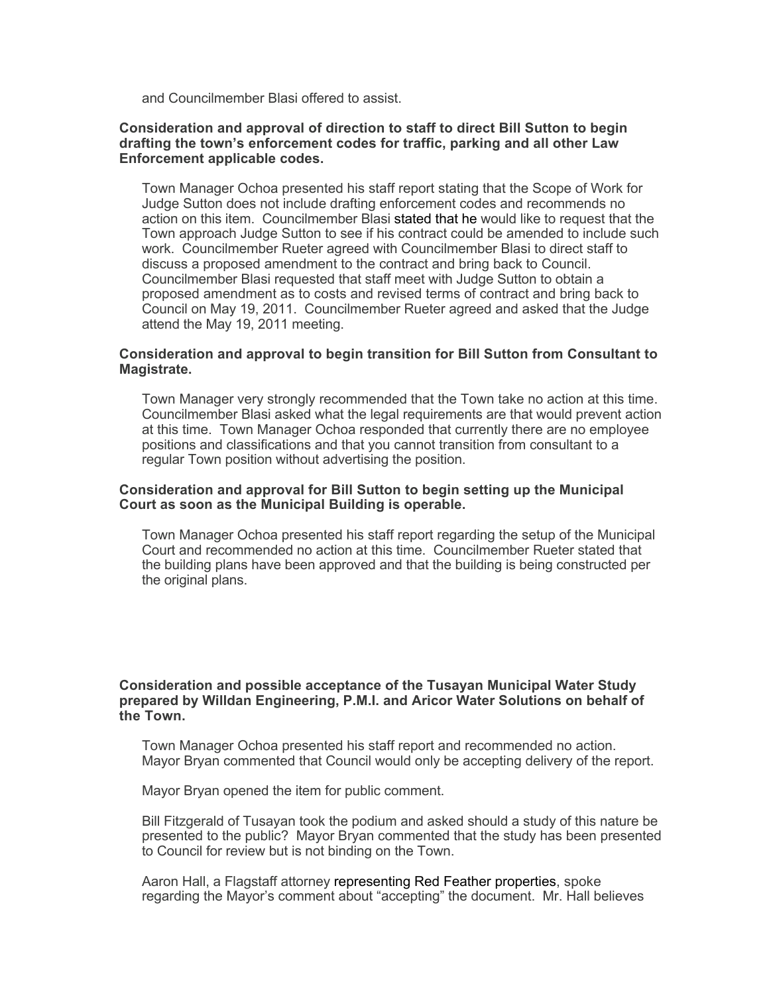and Councilmember Blasi offered to assist.

## **Consideration and approval of direction to staff to direct Bill Sutton to begin drafting the town's enforcement codes for traffic, parking and all other Law Enforcement applicable codes.**

Town Manager Ochoa presented his staff report stating that the Scope of Work for Judge Sutton does not include drafting enforcement codes and recommends no action on this item. Councilmember Blasi stated that he would like to request that the Town approach Judge Sutton to see if his contract could be amended to include such work. Councilmember Rueter agreed with Councilmember Blasi to direct staff to discuss a proposed amendment to the contract and bring back to Council. Councilmember Blasi requested that staff meet with Judge Sutton to obtain a proposed amendment as to costs and revised terms of contract and bring back to Council on May 19, 2011. Councilmember Rueter agreed and asked that the Judge attend the May 19, 2011 meeting.

#### **Consideration and approval to begin transition for Bill Sutton from Consultant to Magistrate.**

Town Manager very strongly recommended that the Town take no action at this time. Councilmember Blasi asked what the legal requirements are that would prevent action at this time. Town Manager Ochoa responded that currently there are no employee positions and classifications and that you cannot transition from consultant to a regular Town position without advertising the position.

## **Consideration and approval for Bill Sutton to begin setting up the Municipal Court as soon as the Municipal Building is operable.**

Town Manager Ochoa presented his staff report regarding the setup of the Municipal Court and recommended no action at this time. Councilmember Rueter stated that the building plans have been approved and that the building is being constructed per the original plans.

#### **Consideration and possible acceptance of the Tusayan Municipal Water Study prepared by Willdan Engineering, P.M.I. and Aricor Water Solutions on behalf of the Town.**

Town Manager Ochoa presented his staff report and recommended no action. Mayor Bryan commented that Council would only be accepting delivery of the report.

Mayor Bryan opened the item for public comment.

Bill Fitzgerald of Tusayan took the podium and asked should a study of this nature be presented to the public? Mayor Bryan commented that the study has been presented to Council for review but is not binding on the Town.

Aaron Hall, a Flagstaff attorney representing Red Feather properties, spoke regarding the Mayor's comment about "accepting" the document. Mr. Hall believes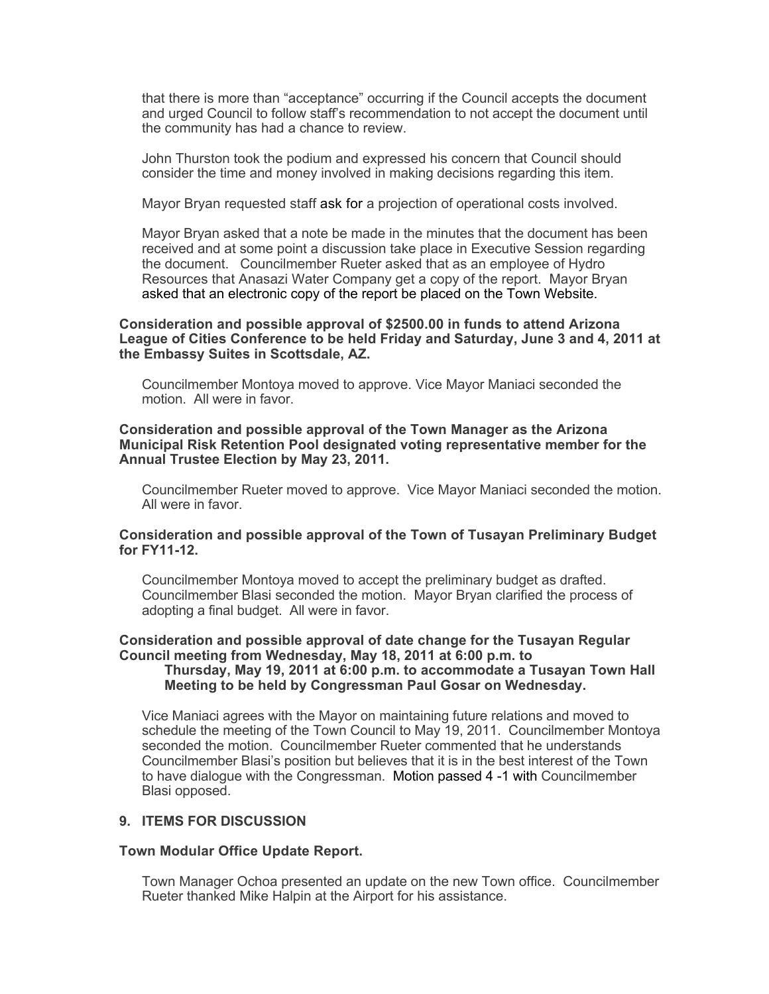that there is more than "acceptance" occurring if the Council accepts the document and urged Council to follow staff's recommendation to not accept the document until the community has had a chance to review.

John Thurston took the podium and expressed his concern that Council should consider the time and money involved in making decisions regarding this item.

Mayor Bryan requested staff ask for a projection of operational costs involved.

Mayor Bryan asked that a note be made in the minutes that the document has been received and at some point a discussion take place in Executive Session regarding the document. Councilmember Rueter asked that as an employee of Hydro Resources that Anasazi Water Company get a copy of the report. Mayor Bryan asked that an electronic copy of the report be placed on the Town Website.

## **Consideration and possible approval of \$2500.00 in funds to attend Arizona League of Cities Conference to be held Friday and Saturday, June 3 and 4, 2011 at the Embassy Suites in Scottsdale, AZ.**

Councilmember Montoya moved to approve. Vice Mayor Maniaci seconded the motion. All were in favor.

## **Consideration and possible approval of the Town Manager as the Arizona Municipal Risk Retention Pool designated voting representative member for the Annual Trustee Election by May 23, 2011.**

Councilmember Rueter moved to approve. Vice Mayor Maniaci seconded the motion. All were in favor.

## **Consideration and possible approval of the Town of Tusayan Preliminary Budget for FY11-12.**

Councilmember Montoya moved to accept the preliminary budget as drafted. Councilmember Blasi seconded the motion. Mayor Bryan clarified the process of adopting a final budget. All were in favor.

#### **Consideration and possible approval of date change for the Tusayan Regular Council meeting from Wednesday, May 18, 2011 at 6:00 p.m. to Thursday, May 19, 2011 at 6:00 p.m. to accommodate a Tusayan Town Hall Meeting to be held by Congressman Paul Gosar on Wednesday.**

Vice Maniaci agrees with the Mayor on maintaining future relations and moved to schedule the meeting of the Town Council to May 19, 2011. Councilmember Montoya seconded the motion. Councilmember Rueter commented that he understands Councilmember Blasi's position but believes that it is in the best interest of the Town to have dialogue with the Congressman. Motion passed 4 -1 with Councilmember Blasi opposed.

#### **9. ITEMS FOR DISCUSSION**

#### **Town Modular Office Update Report.**

Town Manager Ochoa presented an update on the new Town office. Councilmember Rueter thanked Mike Halpin at the Airport for his assistance.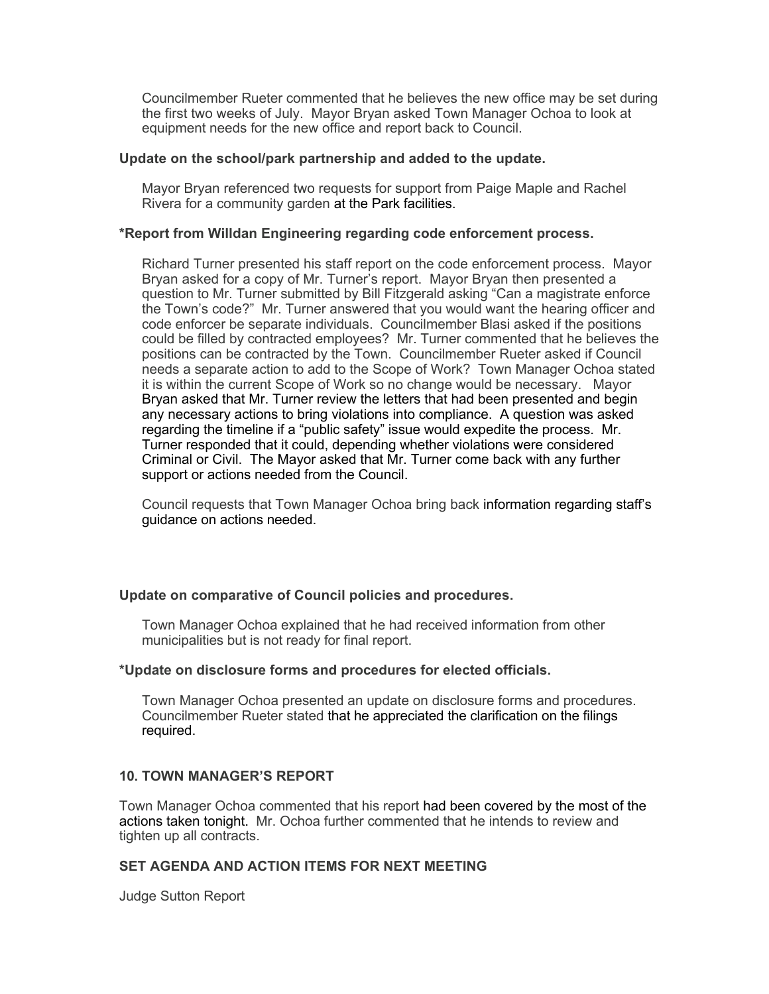Councilmember Rueter commented that he believes the new office may be set during the first two weeks of July. Mayor Bryan asked Town Manager Ochoa to look at equipment needs for the new office and report back to Council.

## **Update on the school/park partnership and added to the update.**

Mayor Bryan referenced two requests for support from Paige Maple and Rachel Rivera for a community garden at the Park facilities.

## **\*Report from Willdan Engineering regarding code enforcement process.**

Richard Turner presented his staff report on the code enforcement process. Mayor Bryan asked for a copy of Mr. Turner's report. Mayor Bryan then presented a question to Mr. Turner submitted by Bill Fitzgerald asking "Can a magistrate enforce the Town's code?" Mr. Turner answered that you would want the hearing officer and code enforcer be separate individuals. Councilmember Blasi asked if the positions could be filled by contracted employees? Mr. Turner commented that he believes the positions can be contracted by the Town. Councilmember Rueter asked if Council needs a separate action to add to the Scope of Work? Town Manager Ochoa stated it is within the current Scope of Work so no change would be necessary. Mayor Bryan asked that Mr. Turner review the letters that had been presented and begin any necessary actions to bring violations into compliance. A question was asked regarding the timeline if a "public safety" issue would expedite the process. Mr. Turner responded that it could, depending whether violations were considered Criminal or Civil. The Mayor asked that Mr. Turner come back with any further support or actions needed from the Council.

Council requests that Town Manager Ochoa bring back information regarding staff's guidance on actions needed.

# **Update on comparative of Council policies and procedures.**

Town Manager Ochoa explained that he had received information from other municipalities but is not ready for final report.

## **\*Update on disclosure forms and procedures for elected officials.**

Town Manager Ochoa presented an update on disclosure forms and procedures. Councilmember Rueter stated that he appreciated the clarification on the filings required.

# **10. TOWN MANAGER'S REPORT**

Town Manager Ochoa commented that his report had been covered by the most of the actions taken tonight. Mr. Ochoa further commented that he intends to review and tighten up all contracts.

# **SET AGENDA AND ACTION ITEMS FOR NEXT MEETING**

Judge Sutton Report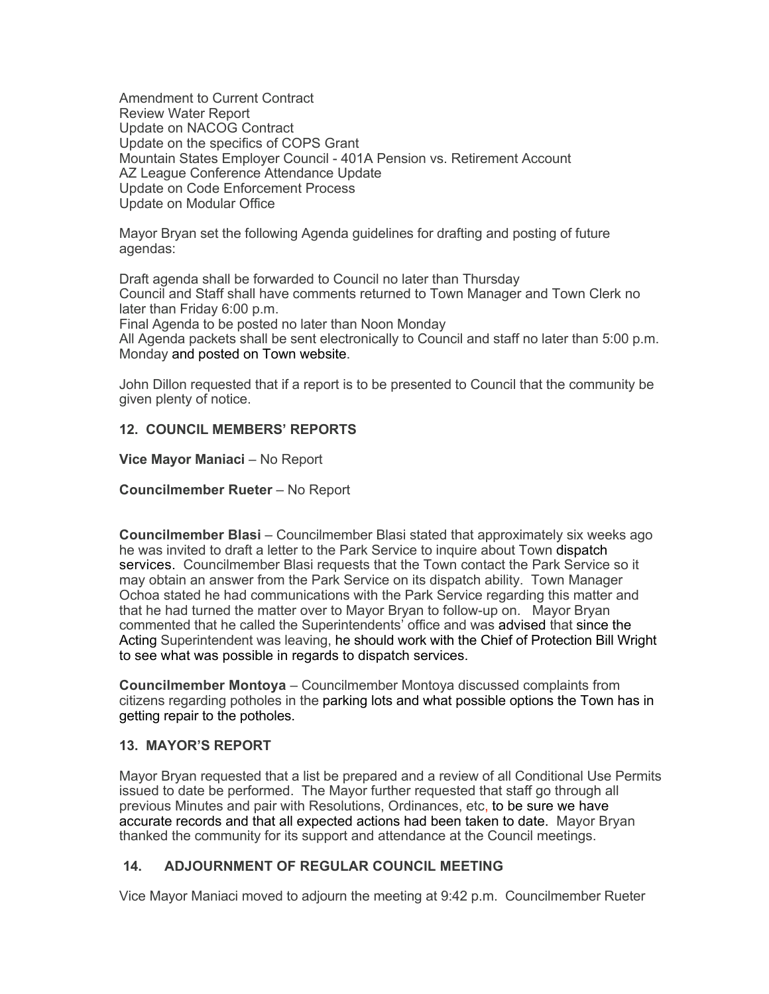Amendment to Current Contract Review Water Report Update on NACOG Contract Update on the specifics of COPS Grant Mountain States Employer Council - 401A Pension vs. Retirement Account AZ League Conference Attendance Update Update on Code Enforcement Process Update on Modular Office

Mayor Bryan set the following Agenda guidelines for drafting and posting of future agendas:

Draft agenda shall be forwarded to Council no later than Thursday Council and Staff shall have comments returned to Town Manager and Town Clerk no later than Friday 6:00 p.m.

Final Agenda to be posted no later than Noon Monday

All Agenda packets shall be sent electronically to Council and staff no later than 5:00 p.m. Monday and posted on Town website.

John Dillon requested that if a report is to be presented to Council that the community be given plenty of notice.

# **12. COUNCIL MEMBERS' REPORTS**

# **Vice Mayor Maniaci - No Report**

# **Councilmember Rueter** – No Report

**Councilmember Blasi** – Councilmember Blasi stated that approximately six weeks ago he was invited to draft a letter to the Park Service to inquire about Town dispatch services. Councilmember Blasi requests that the Town contact the Park Service so it may obtain an answer from the Park Service on its dispatch ability. Town Manager Ochoa stated he had communications with the Park Service regarding this matter and that he had turned the matter over to Mayor Bryan to follow-up on. Mayor Bryan commented that he called the Superintendents' office and was advised that since the Acting Superintendent was leaving, he should work with the Chief of Protection Bill Wright to see what was possible in regards to dispatch services.

**Councilmember Montoya** – Councilmember Montoya discussed complaints from citizens regarding potholes in the parking lots and what possible options the Town has in getting repair to the potholes.

# **13. MAYOR'S REPORT**

Mayor Bryan requested that a list be prepared and a review of all Conditional Use Permits issued to date be performed. The Mayor further requested that staff go through all previous Minutes and pair with Resolutions, Ordinances, etc, to be sure we have accurate records and that all expected actions had been taken to date. Mayor Bryan thanked the community for its support and attendance at the Council meetings.

# **14. ADJOURNMENT OF REGULAR COUNCIL MEETING**

Vice Mayor Maniaci moved to adjourn the meeting at 9:42 p.m. Councilmember Rueter